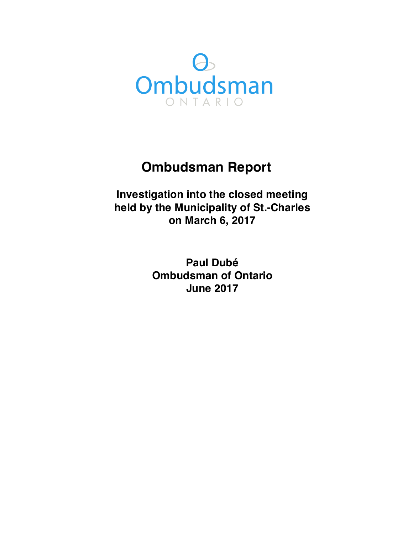

# **Ombudsman Report**

**Investigation into the closed meeting held by the Municipality of St.-Charles on March 6, 2017**

> **Paul Dubé Ombudsman of Ontario June 2017**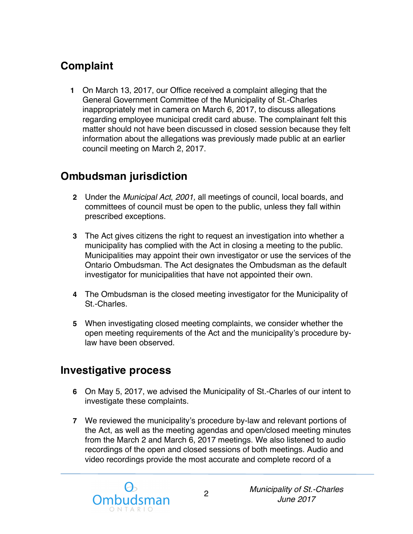# **Complaint**

 **1** On March 13, 2017, our Office received a complaint alleging that the General Government Committee of the Municipality of St.-Charles inappropriately met in camera on March 6, 2017, to discuss allegations regarding employee municipal credit card abuse. The complainant felt this matter should not have been discussed in closed session because they felt information about the allegations was previously made public at an earlier council meeting on March 2, 2017.

# **Ombudsman jurisdiction**

- **2** Under the *Municipal Act*, *2001,* all meetings of council, local boards, and committees of council must be open to the public, unless they fall within prescribed exceptions.
- **3** The Act gives citizens the right to request an investigation into whether a municipality has complied with the Act in closing a meeting to the public. Municipalities may appoint their own investigator or use the services of the Ontario Ombudsman. The Act designates the Ombudsman as the default investigator for municipalities that have not appointed their own.
- **4** The Ombudsman is the closed meeting investigator for the Municipality of St.-Charles.
- **5** When investigating closed meeting complaints, we consider whether the open meeting requirements of the Act and the municipality's procedure by-law have been observed.

### **Investigative process**

- **6** On May 5, 2017, we advised the Municipality of St.-Charles of our intent to investigate these complaints.
- **7** We reviewed the municipality's procedure by-law and relevant portions of the Act, as well as the meeting agendas and open/closed meeting minutes from the March 2 and March 6, 2017 meetings. We also listened to audio recordings of the open and closed sessions of both meetings. Audio and video recordings provide the most accurate and complete record of a

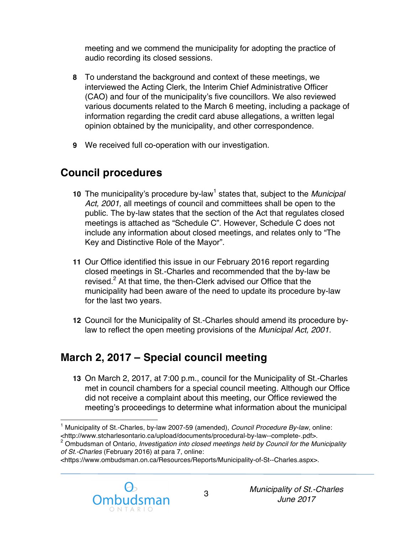meeting and we commend the municipality for adopting the practice of audio recording its closed sessions.

- **8** To understand the background and context of these meetings, we interviewed the Acting Clerk, the Interim Chief Administrative Officer (CAO) and four of the municipality's five councillors. We also reviewed various documents related to the March 6 meeting, including a package of information regarding the credit card abuse allegations, a written legal opinion obtained by the municipality, and other correspondence.
- **9** We received full co-operation with our investigation.

### **Council procedures**

- 10 The municipality's procedure by-law<sup>1</sup> states that, subject to the *Municipal* Act, 2001, all meetings of council and committees shall be open to the public. The by-law states that the section of the Act that regulates closed meetings is attached as "Schedule C". However, Schedule C does not include any information about closed meetings, and relates only to "The Key and Distinctive Role of the Mayor".
- **11** Our Office identified this issue in our February 2016 report regarding closed meetings in St.-Charles and recommended that the by-law be revised.<sup>2</sup> At that time, the then-Clerk advised our Office that the municipality had been aware of the need to update its procedure by-law for the last two years.
- **12** Council for the Municipality of St.-Charles should amend its procedure by-law to reflect the open meeting provisions of the *Municipal Act, 2001.*

# **March 2, 2017 – Special council meeting**

 **13** On March 2, 2017, at 7:00 p.m., council for the Municipality of St.-Charles met in council chambers for a special council meeting. Although our Office did not receive a complaint about this meeting, our Office reviewed the meeting's proceedings to determine what information about the municipal

<sup>&</sup>lt;https://www.ombudsman.on.ca/Resources/Reports/Municipality-of-St--Charles.aspx>.



<sup>&</sup>lt;u>.</u> 1 Municipality of St.-Charles, by-law 2007-59 (amended), *Council Procedure By-law*, online: <http://www.stcharlesontario.ca/upload/documents/procedural-by-law--complete-.pdf>.

 2 Ombudsman of Ontario, *Investigation into closed meetings held by Council for the Municipality of St.-Charles* (February 2016) at para 7, online: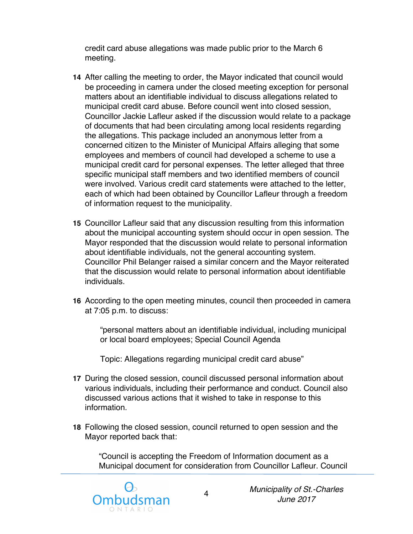credit card abuse allegations was made public prior to the March 6 meeting.

- **14** After calling the meeting to order, the Mayor indicated that council would be proceeding in camera under the closed meeting exception for personal matters about an identifiable individual to discuss allegations related to municipal credit card abuse. Before council went into closed session, Councillor Jackie Lafleur asked if the discussion would relate to a package of documents that had been circulating among local residents regarding the allegations. This package included an anonymous letter from a concerned citizen to the Minister of Municipal Affairs alleging that some employees and members of council had developed a scheme to use a municipal credit card for personal expenses. The letter alleged that three specific municipal staff members and two identified members of council were involved. Various credit card statements were attached to the letter, each of which had been obtained by Councillor Lafleur through a freedom of information request to the municipality.
- **15** Councillor Lafleur said that any discussion resulting from this information about the municipal accounting system should occur in open session. The Mayor responded that the discussion would relate to personal information about identifiable individuals, not the general accounting system. Councillor Phil Belanger raised a similar concern and the Mayor reiterated that the discussion would relate to personal information about identifiable individuals.
- **16** According to the open meeting minutes, council then proceeded in camera at 7:05 p.m. to discuss:

 "personal matters about an identifiable individual, including municipal or local board employees; Special Council Agenda

Topic: Allegations regarding municipal credit card abuse"

- **17** During the closed session, council discussed personal information about various individuals, including their performance and conduct. Council also discussed various actions that it wished to take in response to this information.
- **18** Following the closed session, council returned to open session and the Mayor reported back that:

 "Council is accepting the Freedom of Information document as a Municipal document for consideration from Councillor Lafleur. Council



 *Municipality of St.-Charles June 2017*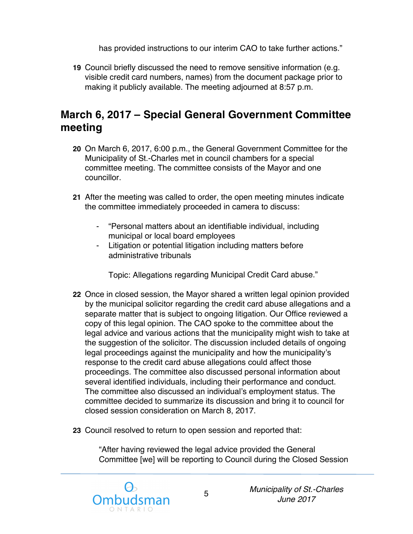has provided instructions to our interim CAO to take further actions."

 **19** Council briefly discussed the need to remove sensitive information (e.g. visible credit card numbers, names) from the document package prior to making it publicly available. The meeting adjourned at 8:57 p.m.

### **March 6, 2017 – Special General Government Committee meeting**

- **20** On March 6, 2017, 6:00 p.m., the General Government Committee for the Municipality of St.-Charles met in council chambers for a special committee meeting. The committee consists of the Mayor and one councillor.
- **21** After the meeting was called to order, the open meeting minutes indicate the committee immediately proceeded in camera to discuss:
	- - "Personal matters about an identifiable individual, including municipal or local board employees
	- - Litigation or potential litigation including matters before administrative tribunals

Topic: Allegations regarding Municipal Credit Card abuse."

- **22** Once in closed session, the Mayor shared a written legal opinion provided by the municipal solicitor regarding the credit card abuse allegations and a separate matter that is subject to ongoing litigation. Our Office reviewed a copy of this legal opinion. The CAO spoke to the committee about the legal advice and various actions that the municipality might wish to take at the suggestion of the solicitor. The discussion included details of ongoing legal proceedings against the municipality and how the municipality's response to the credit card abuse allegations could affect those proceedings. The committee also discussed personal information about several identified individuals, including their performance and conduct. The committee also discussed an individual's employment status. The committee decided to summarize its discussion and bring it to council for closed session consideration on March 8, 2017.
- **23** Council resolved to return to open session and reported that:

 "After having reviewed the legal advice provided the General Committee [we] will be reporting to Council during the Closed Session

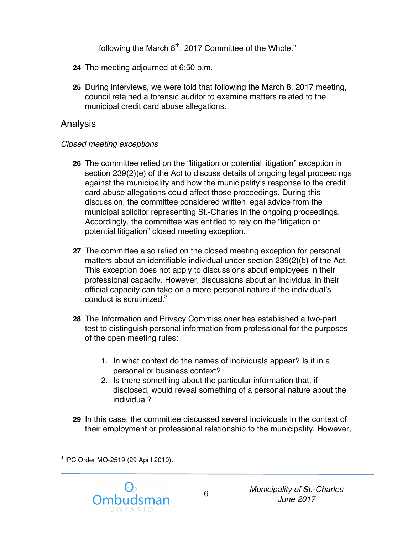following the March  $8<sup>th</sup>$ , 2017 Committee of the Whole."

- **24** The meeting adjourned at 6:50 p.m.
- **25** During interviews, we were told that following the March 8, 2017 meeting, council retained a forensic auditor to examine matters related to the municipal credit card abuse allegations.

#### Analysis

#### *Closed meeting exceptions*

- **26** The committee relied on the "litigation or potential litigation" exception in section 239(2)(e) of the Act to discuss details of ongoing legal proceedings against the municipality and how the municipality's response to the credit card abuse allegations could affect those proceedings. During this discussion, the committee considered written legal advice from the municipal solicitor representing St.-Charles in the ongoing proceedings. Accordingly, the committee was entitled to rely on the "litigation or potential litigation" closed meeting exception.
- **27** The committee also relied on the closed meeting exception for personal matters about an identifiable individual under section 239(2)(b) of the Act. This exception does not apply to discussions about employees in their professional capacity. However, discussions about an individual in their official capacity can take on a more personal nature if the individual's conduct is scrutinized.<sup>3</sup>
- **28** The Information and Privacy Commissioner has established a two-part test to distinguish personal information from professional for the purposes of the open meeting rules:
	- 1. In what context do the names of individuals appear? Is it in a personal or business context?
	- 2. Is there something about the particular information that, if disclosed, would reveal something of a personal nature about the individual?
- **29** In this case, the committee discussed several individuals in the context of their employment or professional relationship to the municipality. However,

<sup>&</sup>lt;u>.</u>  $^3$  IPC Order MO-2519 (29 April 2010).

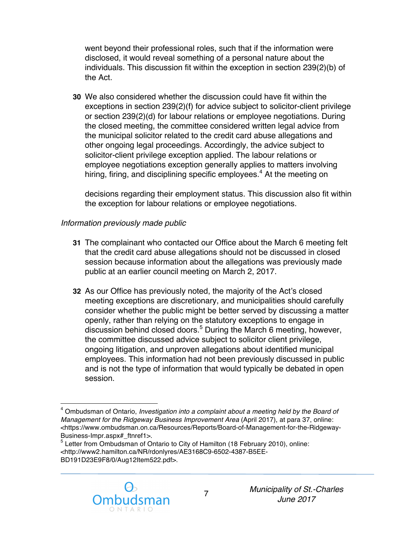went beyond their professional roles, such that if the information were disclosed, it would reveal something of a personal nature about the individuals. This discussion fit within the exception in section 239(2)(b) of the Act.

 **30** We also considered whether the discussion could have fit within the exceptions in section 239(2)(f) for advice subject to solicitor-client privilege or section 239(2)(d) for labour relations or employee negotiations. During the closed meeting, the committee considered written legal advice from the municipal solicitor related to the credit card abuse allegations and other ongoing legal proceedings. Accordingly, the advice subject to solicitor-client privilege exception applied. The labour relations or employee negotiations exception generally applies to matters involving hiring, firing, and disciplining specific employees. $^4$  At the meeting on

 decisions regarding their employment status. This discussion also fit within the exception for labour relations or employee negotiations.

#### *Information previously made public*

- **31** The complainant who contacted our Office about the March 6 meeting felt that the credit card abuse allegations should not be discussed in closed session because information about the allegations was previously made public at an earlier council meeting on March 2, 2017.
- **32** As our Office has previously noted, the majority of the Act's closed meeting exceptions are discretionary, and municipalities should carefully consider whether the public might be better served by discussing a matter openly, rather than relying on the statutory exceptions to engage in discussion behind closed doors.<sup>5</sup> During the March 6 meeting, however, the committee discussed advice subject to solicitor client privilege, ongoing litigation, and unproven allegations about identified municipal employees. This information had not been previously discussed in public and is not the type of information that would typically be debated in open session.

 $<sup>5</sup>$  Letter from Ombudsman of Ontario to City of Hamilton (18 February 2010), online:</sup> <http://www2.hamilton.ca/NR/rdonlyres/AE3168C9-6502-4387-B5EE-BD191D23E9F8/0/Aug12Item522.pdf>.



 $\overline{a}$  session. 4 Ombudsman of Ontario, *Investigation into a complaint about a meeting held by the Board of Management for the Ridgeway Business Improvement Area* (April 2017), at para 37, online: <https://www.ombudsman.on.ca/Resources/Reports/Board-of-Management-for-the-Ridgeway-Business-Impr.aspx# ftnref1>.